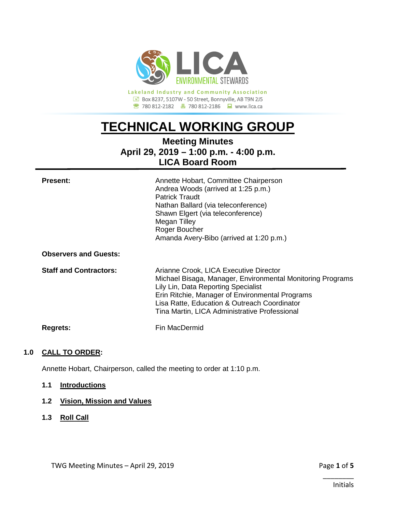

**Lakeland Industry and Community Association** Box 8237, 5107W - 50 Street, Bonnyville, AB T9N 2J5 780 812-2182780 812-2186www.lica.ca

# **TECHNICAL WORKING GROUP**

# **Meeting Minutes April 29, 2019 – 1:00 p.m. - 4:00 p.m. LICA Board Room**

| <b>Present:</b><br><b>Observers and Guests:</b> | Annette Hobart, Committee Chairperson<br>Andrea Woods (arrived at 1:25 p.m.)<br><b>Patrick Traudt</b><br>Nathan Ballard (via teleconference)<br>Shawn Elgert (via teleconference)<br><b>Megan Tilley</b><br>Roger Boucher<br>Amanda Avery-Bibo (arrived at 1:20 p.m.)                           |
|-------------------------------------------------|-------------------------------------------------------------------------------------------------------------------------------------------------------------------------------------------------------------------------------------------------------------------------------------------------|
| <b>Staff and Contractors:</b>                   | Arianne Crook, LICA Executive Director<br>Michael Bisaga, Manager, Environmental Monitoring Programs<br>Lily Lin, Data Reporting Specialist<br>Erin Ritchie, Manager of Environmental Programs<br>Lisa Ratte, Education & Outreach Coordinator<br>Tina Martin, LICA Administrative Professional |
| <b>Regrets:</b>                                 | Fin MacDermid                                                                                                                                                                                                                                                                                   |

# **1.0 CALL TO ORDER:**

Annette Hobart, Chairperson, called the meeting to order at 1:10 p.m.

**1.1 Introductions**

# **1.2 Vision, Mission and Values**

**1.3 Roll Call**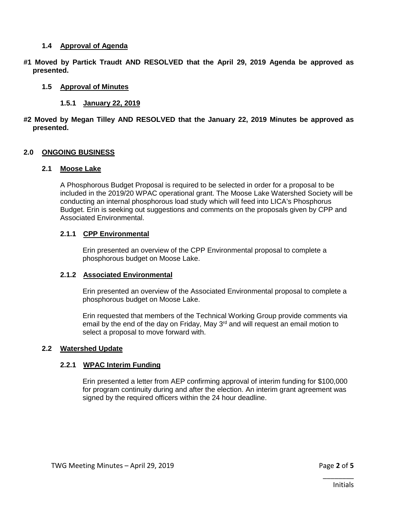#### **1.4 Approval of Agenda**

**#1 Moved by Partick Traudt AND RESOLVED that the April 29, 2019 Agenda be approved as presented.**

### **1.5 Approval of Minutes**

#### **1.5.1 January 22, 2019**

#### **#2 Moved by Megan Tilley AND RESOLVED that the January 22, 2019 Minutes be approved as presented.**

#### **2.0 ONGOING BUSINESS**

#### **2.1 Moose Lake**

A Phosphorous Budget Proposal is required to be selected in order for a proposal to be included in the 2019/20 WPAC operational grant. The Moose Lake Watershed Society will be conducting an internal phosphorous load study which will feed into LICA's Phosphorus Budget. Erin is seeking out suggestions and comments on the proposals given by CPP and Associated Environmental.

#### **2.1.1 CPP Environmental**

Erin presented an overview of the CPP Environmental proposal to complete a phosphorous budget on Moose Lake.

#### **2.1.2 Associated Environmental**

Erin presented an overview of the Associated Environmental proposal to complete a phosphorous budget on Moose Lake.

Erin requested that members of the Technical Working Group provide comments via email by the end of the day on Friday, May  $3<sup>rd</sup>$  and will request an email motion to select a proposal to move forward with.

#### **2.2 Watershed Update**

#### **2.2.1 WPAC Interim Funding**

Erin presented a letter from AEP confirming approval of interim funding for \$100,000 for program continuity during and after the election. An interim grant agreement was signed by the required officers within the 24 hour deadline.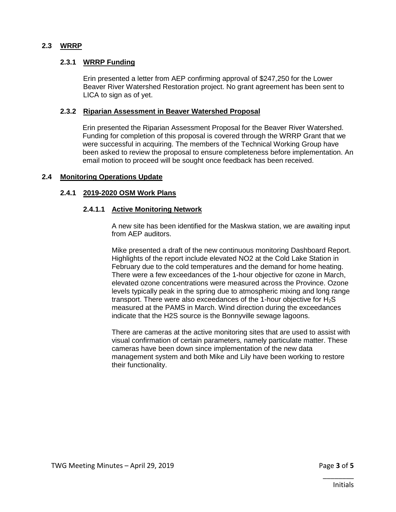# **2.3 WRRP**

# **2.3.1 WRRP Funding**

Erin presented a letter from AEP confirming approval of \$247,250 for the Lower Beaver River Watershed Restoration project. No grant agreement has been sent to LICA to sign as of yet.

### **2.3.2 Riparian Assessment in Beaver Watershed Proposal**

Erin presented the Riparian Assessment Proposal for the Beaver River Watershed. Funding for completion of this proposal is covered through the WRRP Grant that we were successful in acquiring. The members of the Technical Working Group have been asked to review the proposal to ensure completeness before implementation. An email motion to proceed will be sought once feedback has been received.

#### **2.4 Monitoring Operations Update**

#### **2.4.1 2019-2020 OSM Work Plans**

#### **2.4.1.1 Active Monitoring Network**

A new site has been identified for the Maskwa station, we are awaiting input from AEP auditors.

Mike presented a draft of the new continuous monitoring Dashboard Report. Highlights of the report include elevated NO2 at the Cold Lake Station in February due to the cold temperatures and the demand for home heating. There were a few exceedances of the 1-hour objective for ozone in March, elevated ozone concentrations were measured across the Province. Ozone levels typically peak in the spring due to atmospheric mixing and long range transport. There were also exceedances of the 1-hour objective for  $H_2S$ measured at the PAMS in March. Wind direction during the exceedances indicate that the H2S source is the Bonnyville sewage lagoons.

There are cameras at the active monitoring sites that are used to assist with visual confirmation of certain parameters, namely particulate matter. These cameras have been down since implementation of the new data management system and both Mike and Lily have been working to restore their functionality.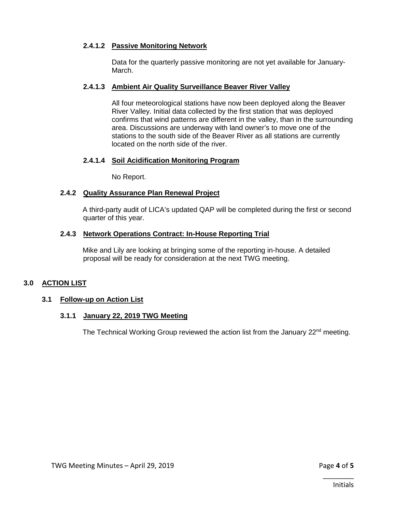# **2.4.1.2 Passive Monitoring Network**

Data for the quarterly passive monitoring are not yet available for January-March.

# **2.4.1.3 Ambient Air Quality Surveillance Beaver River Valley**

All four meteorological stations have now been deployed along the Beaver River Valley. Initial data collected by the first station that was deployed confirms that wind patterns are different in the valley, than in the surrounding area. Discussions are underway with land owner's to move one of the stations to the south side of the Beaver River as all stations are currently located on the north side of the river.

# **2.4.1.4 Soil Acidification Monitoring Program**

No Report.

# **2.4.2 Quality Assurance Plan Renewal Project**

A third-party audit of LICA's updated QAP will be completed during the first or second quarter of this year.

# **2.4.3 Network Operations Contract: In-House Reporting Trial**

Mike and Lily are looking at bringing some of the reporting in-house. A detailed proposal will be ready for consideration at the next TWG meeting.

# **3.0 ACTION LIST**

# **3.1 Follow-up on Action List**

# **3.1.1 January 22, 2019 TWG Meeting**

The Technical Working Group reviewed the action list from the January  $22<sup>nd</sup>$  meeting.